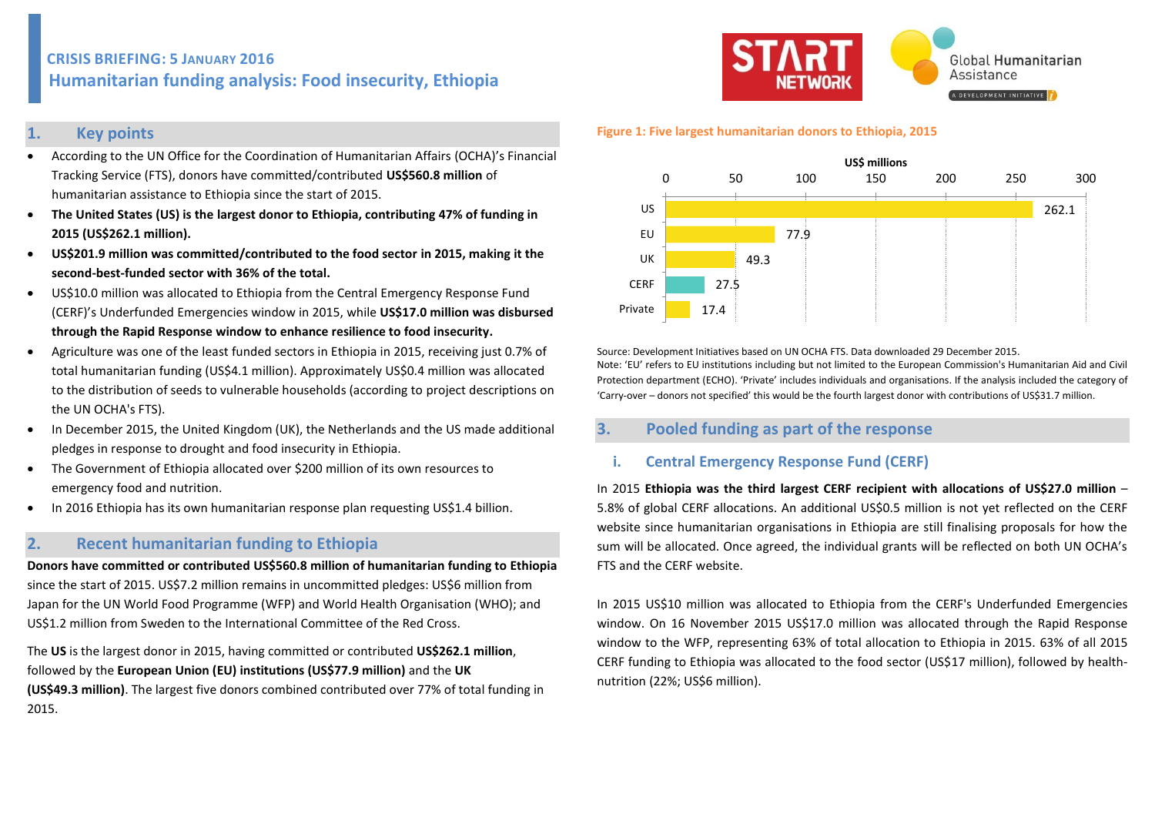# **CRISIS BRIEFING: 5 JANUARY 2016 Humanitarian funding analysis: Food insecurity, Ethiopia**

### **1. Key points**

- According to the UN Office for the Coordination of Humanitarian Affairs (OCHA)'s Financial Tracking Service (FTS), donors have committed/contributed **US\$560.8 million** of humanitarian assistance to Ethiopia since the start of 2015.
- **The United States (US) is the largest donor to Ethiopia, contributing 47% of funding in 2015 (US\$262.1 million).**
- **US\$201.9 million was committed/contributed to the food sector in 2015, making it the second-best-funded sector with 36% of the total.**
- US\$10.0 million was allocated to Ethiopia from the Central Emergency Response Fund (CERF)'s Underfunded Emergencies window in 2015, while **US\$17.0 million was disbursed through the Rapid Response window to enhance resilience to food insecurity.**
- Agriculture was one of the least funded sectors in Ethiopia in 2015, receiving just 0.7% of total humanitarian funding (US\$4.1 million). Approximately US\$0.4 million was allocated to the distribution of seeds to vulnerable households (according to project descriptions on the UN OCHA's FTS).
- In December 2015, the United Kingdom (UK), the Netherlands and the US made additional pledges in response to drought and food insecurity in Ethiopia.
- The Government of Ethiopia allocated over \$200 million of its own resources to emergency food and nutrition.
- In 2016 Ethiopia has its own humanitarian response plan requesting US\$1.4 billion.

### **2. Recent humanitarian funding to Ethiopia**

**Donors have committed or contributed US\$560.8 million of humanitarian funding to Ethiopia** since the start of 2015. US\$7.2 million remains in uncommitted pledges: US\$6 million from Japan for the UN World Food Programme (WFP) and World Health Organisation (WHO); and US\$1.2 million from Sweden to the International Committee of the Red Cross.

The **US** is the largest donor in 2015, having committed or contributed **US\$262.1 million**, followed by the **European Union (EU) institutions (US\$77.9 million)** and the **UK (US\$49.3 million)**. The largest five donors combined contributed over 77% of total funding in 2015.



#### **Figure 1: Five largest humanitarian donors to Ethiopia, 2015**



Source: Development Initiatives based on UN OCHA FTS. Data downloaded 29 December 2015. Note: 'EU' refers to EU institutions including but not limited to the European Commission's Humanitarian Aid and Civil Protection department (ECHO). 'Private' includes individuals and organisations. If the analysis included the category of 'Carry-over – donors not specified' this would be the fourth largest donor with contributions of US\$31.7 million.

## **3. Pooled funding as part of the response**

### **i. Central Emergency Response Fund (CERF)**

In 2015 **Ethiopia was the third largest CERF recipient with allocations of US\$27.0 million** – 5.8% of global CERF allocations. An additional US\$0.5 million is not yet reflected on the CERF website since humanitarian organisations in Ethiopia are still finalising proposals for how the sum will be allocated. Once agreed, the individual grants will be reflected on both UN OCHA's FTS and the CERF website.

In 2015 US\$10 million was allocated to Ethiopia from the CERF's Underfunded Emergencies window. On 16 November 2015 US\$17.0 million was allocated through the Rapid Response window to the WFP, representing 63% of total allocation to Ethiopia in 2015. 63% of all 2015 CERF funding to Ethiopia was allocated to the food sector (US\$17 million), followed by healthnutrition (22%; US\$6 million).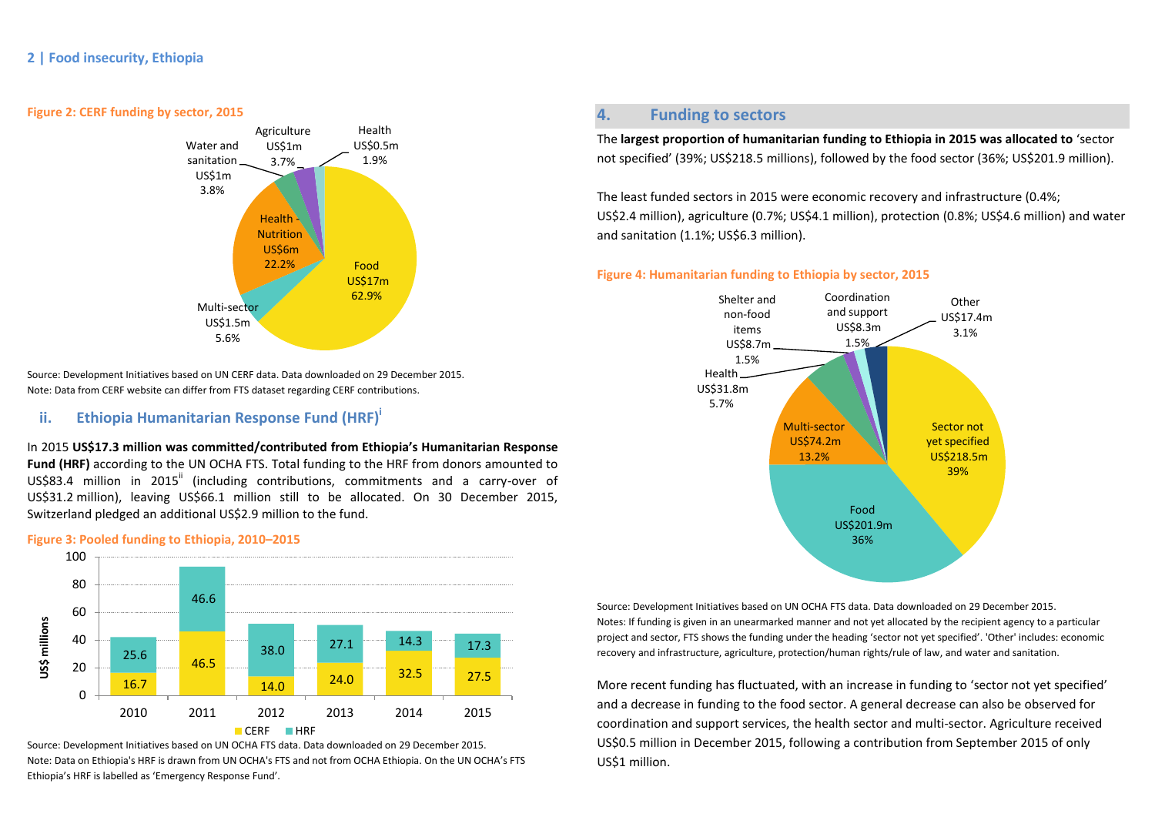

#### **Figure 2: CERF funding by sector, 2015**



Health US\$0.5m

Source: Development Initiatives based on UN CERF data. Data downloaded on 29 December 2015. Note: Data from CERF website can differ from FTS dataset regarding CERF contributions.

### **ii. Ethiopia Humanitarian Response Fund (HRF)<sup>i</sup>**

In 2015 **US\$17.3 million was committed/contributed from Ethiopia's Humanitarian Response Fund (HRF)** according to the UN OCHA FTS. Total funding to the HRF from donors amounted to US\$83.4 million in 2015<sup>ii</sup> (including contributions, commitments and a carry-over of US\$31.2 million), leaving US\$66.1 million still to be allocated. On 30 December 2015, Switzerland pledged an additional US\$2.9 million to the fund.

#### **Figure 3: Pooled funding to Ethiopia, 2010–2015**



Source: Development Initiatives based on UN OCHA FTS data. Data downloaded on 29 December 2015. Note: Data on Ethiopia's HRF is drawn from UN OCHA's FTS and not from OCHA Ethiopia. On the UN OCHA's FTS Ethiopia's HRF is labelled as 'Emergency Response Fund'.

## **4. Funding to sectors**

The **largest proportion of humanitarian funding to Ethiopia in 2015 was allocated to** 'sector not specified' (39%; US\$218.5 millions), followed by the food sector (36%; US\$201.9 million).

The least funded sectors in 2015 were economic recovery and infrastructure (0.4%; US\$2.4 million), agriculture (0.7%; US\$4.1 million), protection (0.8%; US\$4.6 million) and water and sanitation (1.1%; US\$6.3 million).

### **Figure 4: Humanitarian funding to Ethiopia by sector, 2015**



Source: Development Initiatives based on UN OCHA FTS data. Data downloaded on 29 December 2015. Notes: If funding is given in an unearmarked manner and not yet allocated by the recipient agency to a particular project and sector, FTS shows the funding under the heading 'sector not yet specified'. 'Other' includes: economic recovery and infrastructure, agriculture, protection/human rights/rule of law, and water and sanitation.

More recent funding has fluctuated, with an increase in funding to 'sector not yet specified' and a decrease in funding to the food sector. A general decrease can also be observed for coordination and support services, the health sector and multi-sector. Agriculture received US\$0.5 million in December 2015, following a contribution from September 2015 of only US\$1 million.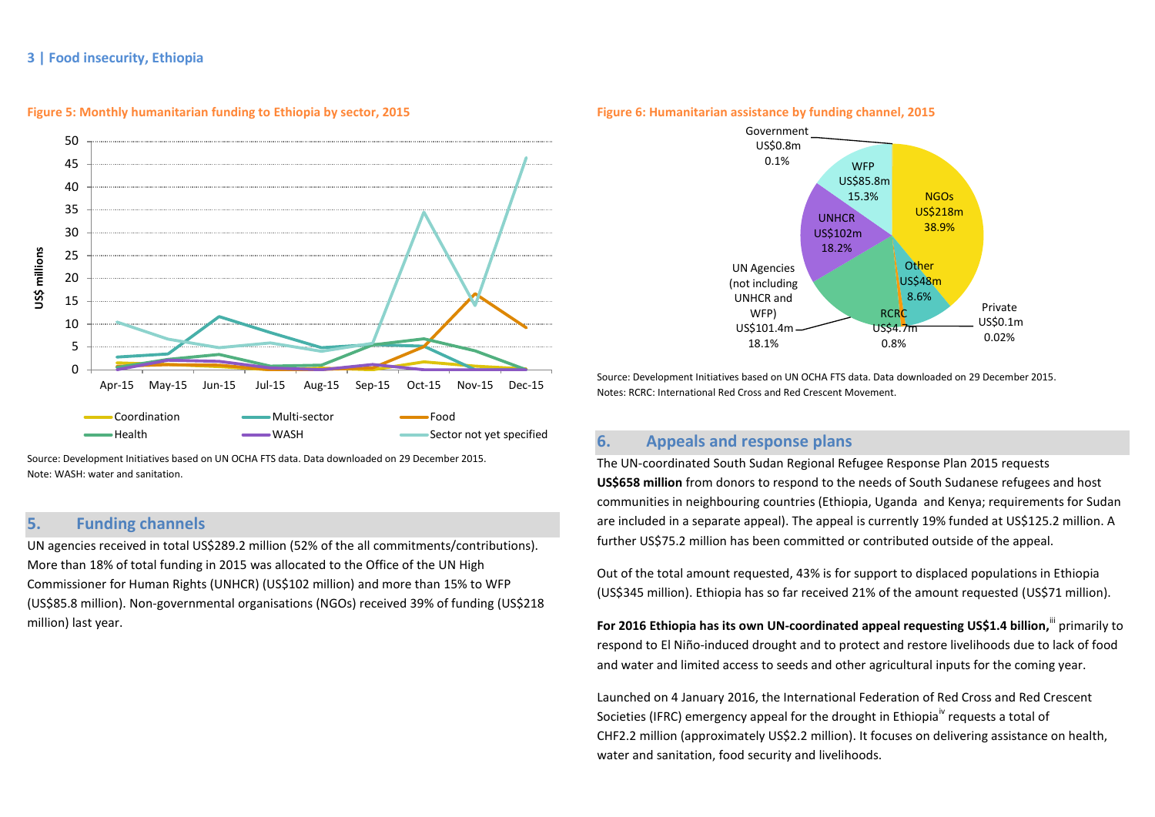### **3 | Food insecurity, Ethiopia**



**Figure 5: Monthly humanitarian funding to Ethiopia by sector, 2015**

Source: Development Initiatives based on UN OCHA FTS data. Data downloaded on 29 December 2015. Note: WASH: water and sanitation.

## **5. Funding channels**

UN agencies received in total US\$289.2 million (52% of the all commitments/contributions). More than 18% of total funding in 2015 was allocated to the Office of the UN High Commissioner for Human Rights (UNHCR) (US\$102 million) and more than 15% to WFP (US\$85.8 million). Non-governmental organisations (NGOs) received 39% of funding (US\$218 million) last year.

### **Figure 6: Humanitarian assistance by funding channel, 2015** Government US\$0.8m 0.1%



Source: Development Initiatives based on UN OCHA FTS data. Data downloaded on 29 December 2015. Notes: RCRC: International Red Cross and Red Crescent Movement.

## **6. Appeals and response plans**

The UN-coordinated South Sudan Regional Refugee Response Plan 2015 requests **US\$658 million** from donors to respond to the needs of South Sudanese refugees and host communities in neighbouring countries (Ethiopia, Uganda and Kenya; requirements for Sudan are included in a separate appeal). The appeal is currently 19% funded at US\$125.2 million. A further US\$75.2 million has been committed or contributed outside of the appeal.

Out of the total amount requested, 43% is for support to displaced populations in Ethiopia (US\$345 million). Ethiopia has so far received 21% of the amount requested (US\$71 million).

**For 2016 Ethiopia has its own UN-coordinated appeal requesting US\$1.4 billion,<sup>III</sup> primarily to** respond to El Niño-induced drought and to protect and restore livelihoods due to lack of food and water and limited access to seeds and other agricultural inputs for the coming year.

Launched on 4 January 2016, the International Federation of Red Cross and Red Crescent Societies (IFRC) emergency appeal for the drought in Ethiopia<sup>iv</sup> requests a total of CHF2.2 million (approximately US\$2.2 million). It focuses on delivering assistance on health, water and sanitation, food security and livelihoods.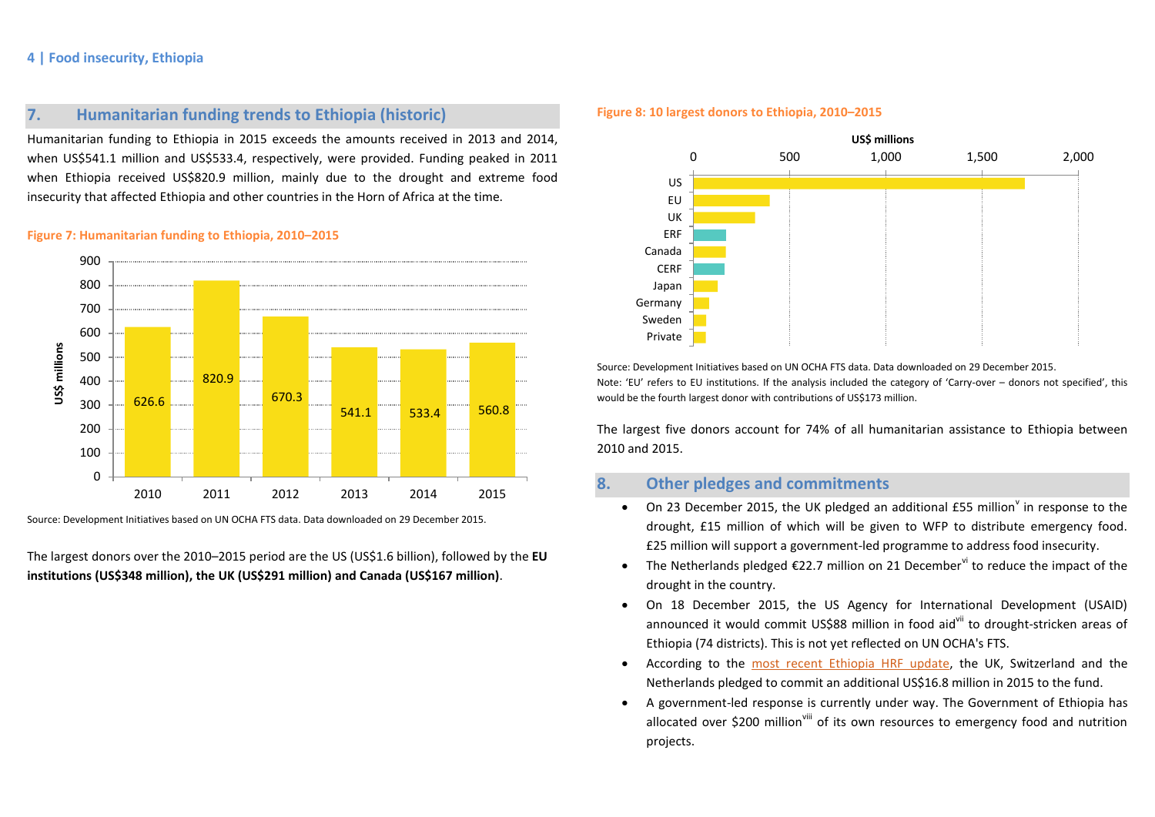### **4 | Food insecurity, Ethiopia**

## **7. Humanitarian funding trends to Ethiopia (historic)**

Humanitarian funding to Ethiopia in 2015 exceeds the amounts received in 2013 and 2014, when US\$541.1 million and US\$533.4, respectively, were provided. Funding peaked in 2011 when Ethiopia received US\$820.9 million, mainly due to the drought and extreme food insecurity that affected Ethiopia and other countries in the Horn of Africa at the time.

### **Figure 7: Humanitarian funding to Ethiopia, 2010–2015**



Source: Development Initiatives based on UN OCHA FTS data. Data downloaded on 29 December 2015.

The largest donors over the 2010–2015 period are the US (US\$1.6 billion), followed by the **EU institutions (US\$348 million), the UK (US\$291 million) and Canada (US\$167 million)**.

#### **Figure 8: 10 largest donors to Ethiopia, 2010–2015**



Source: Development Initiatives based on UN OCHA FTS data. Data downloaded on 29 December 2015. Note: 'EU' refers to EU institutions. If the analysis included the category of 'Carry-over – donors not specified', this would be the fourth largest donor with contributions of US\$173 million.

The largest five donors account for 74% of all humanitarian assistance to Ethiopia between 2010 and 2015.

## **8. Other pledges and commitments**

- On 23 December 2015, the UK pledged an additional  $E55$  million<sup>Y</sup> in response to the drought, £15 million of which will be given to WFP to distribute emergency food. £25 million will support a government-led programme to address food insecurity.
- The Netherlands pledged  $\epsilon$ 22.7 million on 21 December  $\alpha$  to reduce the impact of the drought in the country.
- On 18 December 2015, the US Agency for International Development (USAID) announced it would commit US\$88 million in food aid<sup>vii</sup> to drought-stricken areas of Ethiopia (74 districts). This is not yet reflected on UN OCHA's FTS.
- According to the [most recent Ethiopia HRF update,](http://reliefweb.int/sites/reliefweb.int/files/resources/hrf_update_29_oct_15.pdf) the UK, Switzerland and the Netherlands pledged to commit an additional US\$16.8 million in 2015 to the fund.
- A government-led response is currently under way. The Government of Ethiopia has allocated over \$200 million<sup>viii</sup> of its own resources to emergency food and nutrition projects.